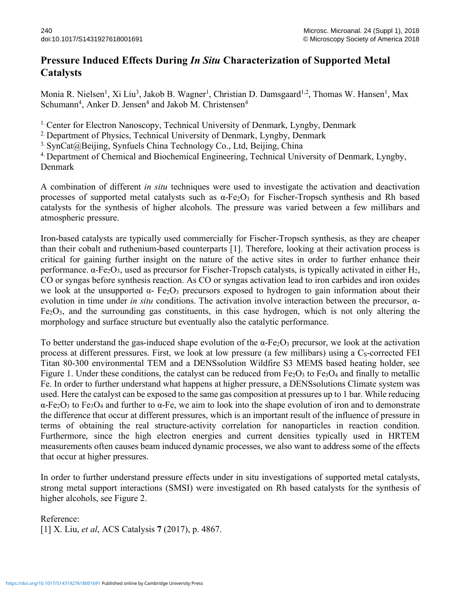## **Pressure Induced Effects During** *In Situ* **Characterization of Supported Metal Catalysts**

Monia R. Nielsen<sup>1</sup>, Xi Liu<sup>3</sup>, Jakob B. Wagner<sup>1</sup>, Christian D. Damsgaard<sup>1,2</sup>, Thomas W. Hansen<sup>1</sup>, Max Schumann<sup>4</sup>, Anker D. Jensen<sup>4</sup> and Jakob M. Christensen<sup>4</sup>

1. Center for Electron Nanoscopy, Technical University of Denmark, Lyngby, Denmark

<sup>2.</sup> Department of Physics, Technical University of Denmark, Lyngby, Denmark

 $3.$  SynCat@Beijing, Synfuels China Technology Co., Ltd, Beijing, China

4. Department of Chemical and Biochemical Engineering, Technical University of Denmark, Lyngby, Denmark

A combination of different *in situ* techniques were used to investigate the activation and deactivation processes of supported metal catalysts such as  $\alpha$ -Fe<sub>2</sub>O<sub>3</sub> for Fischer-Tropsch synthesis and Rh based catalysts for the synthesis of higher alcohols. The pressure was varied between a few millibars and atmospheric pressure.

Iron-based catalysts are typically used commercially for Fischer-Tropsch synthesis, as they are cheaper than their cobalt and ruthenium-based counterparts [1]. Therefore, looking at their activation process is critical for gaining further insight on the nature of the active sites in order to further enhance their performance.  $\alpha$ -Fe<sub>2</sub>O<sub>3</sub>, used as precursor for Fischer-Tropsch catalysts, is typically activated in either H<sub>2</sub>, CO or syngas before synthesis reaction. As CO or syngas activation lead to iron carbides and iron oxides we look at the unsupported  $\alpha$ - Fe<sub>2</sub>O<sub>3</sub> precursors exposed to hydrogen to gain information about their evolution in time under *in situ* conditions. The activation involve interaction between the precursor, α- $Fe<sub>2</sub>O<sub>3</sub>$ , and the surrounding gas constituents, in this case hydrogen, which is not only altering the morphology and surface structure but eventually also the catalytic performance.

To better understand the gas-induced shape evolution of the  $\alpha$ -Fe<sub>2</sub>O<sub>3</sub> precursor, we look at the activation process at different pressures. First, we look at low pressure (a few millibars) using a  $C_s$ -corrected FEI Titan 80-300 environmental TEM and a DENSsolution Wildfire S3 MEMS based heating holder, see Figure 1. Under these conditions, the catalyst can be reduced from  $Fe<sub>2</sub>O<sub>3</sub>$  to  $Fe<sub>3</sub>O<sub>4</sub>$  and finally to metallic Fe. In order to further understand what happens at higher pressure, a DENSsolutions Climate system was used. Here the catalyst can be exposed to the same gas composition at pressures up to 1 bar. While reducing α-Fe2O3 to Fe3O4 and further to α-Fe, we aim to look into the shape evolution of iron and to demonstrate the difference that occur at different pressures, which is an important result of the influence of pressure in terms of obtaining the real structure-activity correlation for nanoparticles in reaction condition. Furthermore, since the high electron energies and current densities typically used in HRTEM measurements often causes beam induced dynamic processes, we also want to address some of the effects that occur at higher pressures.

In order to further understand pressure effects under in situ investigations of supported metal catalysts, strong metal support interactions (SMSI) were investigated on Rh based catalysts for the synthesis of higher alcohols, see Figure 2.

Reference: [1] X. Liu, *et al*, ACS Catalysis **7** (2017), p. 4867.